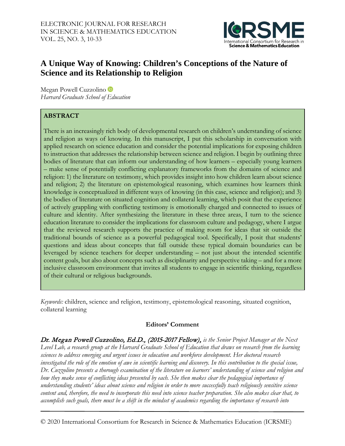

# **A Unique Way of Knowing: Children's Conceptions of the Nature of Science and its Relationship to Religion**

MeganPowell Cuzzolino *Harvard Graduate School of Education*

## **ABSTRACT**

There is an increasingly rich body of developmental research on children's understanding of science and religion as ways of knowing. In this manuscript, I put this scholarship in conversation with applied research on science education and consider the potential implications for exposing children to instruction that addresses the relationship between science and religion. I begin by outlining three bodies of literature that can inform our understanding of how learners – especially young learners – make sense of potentially conflicting explanatory frameworks from the domains of science and religion: 1) the literature on testimony, which provides insight into how children learn about science and religion; 2) the literature on epistemological reasoning, which examines how learners think knowledge is conceptualized in different ways of knowing (in this case, science and religion); and 3) the bodies of literature on situated cognition and collateral learning, which posit that the experience of actively grappling with conflicting testimony is emotionally charged and connected to issues of culture and identity. After synthesizing the literature in these three areas, I turn to the science education literature to consider the implications for classroom culture and pedagogy, where I argue that the reviewed research supports the practice of making room for ideas that sit outside the traditional bounds of science as a powerful pedagogical tool. Specifically, I posit that students' questions and ideas about concepts that fall outside these typical domain boundaries can be leveraged by science teachers for deeper understanding – not just about the intended scientific content goals, but also about concepts such as disciplinarity and perspective taking – and for a more inclusive classroom environment that invites all students to engage in scientific thinking, regardless of their cultural or religious backgrounds.

*Keywords:* children, science and religion, testimony, epistemological reasoning, situated cognition, collateral learning

## **Editors' Comment**

Dr. Megan Powell Cuzzolino, Ed.D., (2015-2017 Fellow), *is the Senior Project Manager at the Next* Level Lab, a research group at the Harvard Graduate School of Education that draws on research from the learning *sciences to address emerging and urgent issues in education and workforce development. Her doctoral research* investigated the role of the emotion of awe in scientific learning and discovery. In this contribution to the special issue, *Dr. Cuzzolino presents a thorough examination of the literature on learners' understanding of science and religion and how they make sense of conflicting ideas presented by each. She then makes clear the pedagogical importance of understanding students' ideas about science and religion in order to more successfully teach religiously sensitive science* content and, therefore, the need to incorporate this need into science teacher preparation. She also makes clear that, to accomplish such goals, there must be a shift in the mindset of academics regarding the importance of research into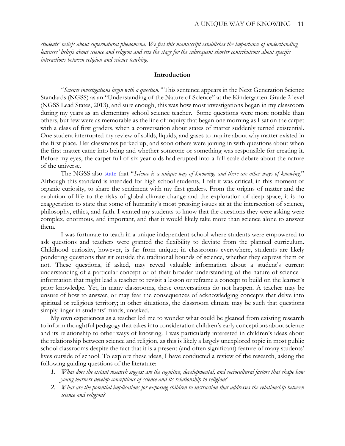*students' beliefs about supernatural phenomena. We feel this manuscript establishes the importance of understanding* learners' beliefs about science and religion and sets the stage for the subsequent shorter contributions about specific *interactions between religion and science teaching.*

### **Introduction**

"*Science investigations begin with a question."* This sentence appears in the Next Generation Science Standards (NGSS) as an "Understanding of the Nature of Science" at the Kindergarten-Grade 2 level (NGSS Lead States, 2013), and sure enough, this was how most investigations began in my classroom during my years as an elementary school science teacher. Some questions were more notable than others, but few were as memorable as the line of inquiry that began one morning as I sat on the carpet with a class of first graders, when a conversation about states of matter suddenly turned existential. One student interrupted my review of solids, liquids, and gases to inquire about why matter existed in the first place. Her classmates perked up, and soon others were joining in with questions about when the first matter came into being and whether someone or something was responsible for creating it. Before my eyes, the carpet full of six-year-olds had erupted into a full-scale debate about the nature of the universe.

The NGSS also [state](https://ngss.nsta.org/NSforCC.aspx?id=5) that "*Science is a unique way of knowing, and there are other ways of knowing.*" Although this standard is intended for high school students, I felt it was critical, in this moment of organic curiosity, to share the sentiment with my first graders. From the origins of matter and the evolution of life to the risks of global climate change and the exploration of deep space, it is no exaggeration to state that some of humanity's most pressing issues sit at the intersection of science, philosophy, ethics, and faith. I wanted my students to know that the questions they were asking were complex, enormous, and important, and that it would likely take more than science alone to answer them.

I was fortunate to teach in a unique independent school where students were empowered to ask questions and teachers were granted the flexibility to deviate from the planned curriculum. Childhood curiosity, however, is far from unique; in classrooms everywhere, students are likely pondering questions that sit outside the traditional bounds of science, whether they express them or not. These questions, if asked, may reveal valuable information about a student's current understanding of a particular concept or of their broader understanding of the nature of science – information that might lead a teacher to revisit a lesson or reframe a concept to build on the learner's prior knowledge. Yet, in many classrooms, these conversations do not happen. A teacher may be unsure of how to answer, or may fear the consequences of acknowledging concepts that delve into spiritual or religious territory; in other situations, the classroom climate may be such that questions simply linger in students' minds, unasked.

My own experiences as a teacher led me to wonder what could be gleaned from existing research to inform thoughtful pedagogy that takes into consideration children's early conceptions about science and its relationship to other ways of knowing. I was particularly interested in children's ideas about the relationship between science and religion, as this is likely a largely unexplored topic in most public school classrooms despite the fact that it is a present (and often significant) feature of many students' lives outside of school. To explore these ideas, I have conducted a review of the research, asking the following guiding questions of the literature:

- *1. What does the extant research suggest are the cognitive, developmental, and sociocultural factors that shape how young learners develop conceptions of science and its relationship to religion?*
- *2. What are the potential implications for exposing children to instruction that addresses the relationship between science and religion?*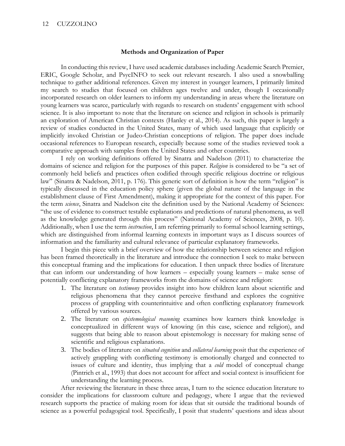## 12 CUZZOLINO

#### **Methods and Organization of Paper**

In conducting this review, I have used academic databases including Academic Search Premier, ERIC, Google Scholar, and PsycINFO to seek out relevant research. I also used a snowballing technique to gather additional references. Given my interest in younger learners, I primarily limited my search to studies that focused on children ages twelve and under, though I occasionally incorporated research on older learners to inform my understanding in areas where the literature on young learners was scarce, particularly with regards to research on students' engagement with school science. It is also important to note that the literature on science and religion in schools is primarily an exploration of American Christian contexts (Hanley et al., 2014). As such, this paper is largely a review of studies conducted in the United States, many of which used language that explicitly or implicitly invoked Christian or Judeo-Christian conceptions of religion. The paper does include occasional references to European research, especially because some of the studies reviewed took a comparative approach with samples from the United States and other countries.

I rely on working definitions offered by Sinatra and Nadelson (2011) to characterize the domains of science and religion for the purposes of this paper. *Religion* is considered to be "a set of commonly held beliefs and practices often codified through specific religious doctrine or religious law" (Sinatra & Nadelson, 2011, p. 176). This generic sort of definition is how the term "religion" is typically discussed in the education policy sphere (given the global nature of the language in the establishment clause of First Amendment), making it appropriate for the context of this paper. For the term *science*, Sinatra and Nadelson cite the definition used by the National Academy of Sciences: "the use of evidence to construct testable explanations and predictions of natural phenomena, as well as the knowledge generated through this process" (National Academy of Sciences, 2008, p. 10). Additionally, when I use the term *instruction*, I am referring primarily to formal school learning settings, which are distinguished from informal learning contexts in important ways as I discuss sources of information and the familiarity and cultural relevance of particular explanatory frameworks.

I begin this piece with a brief overview of how the relationship between science and religion has been framed theoretically in the literature and introduce the connection I seek to make between this conceptual framing and the implications for education. I then unpack three bodies of literature that can inform our understanding of how learners – especially young learners – make sense of potentially conflicting explanatory frameworks from the domains of science and religion:

- 1. The literature on *testimony* provides insight into how children learn about scientific and religious phenomena that they cannot perceive firsthand and explores the cognitive process of grappling with counterintuitive and often conflicting explanatory framework offered by various sources.
- 2. The literature on *epistemological reasoning* examines how learners think knowledge is conceptualized in different ways of knowing (in this case, science and religion), and suggests that being able to reason about epistemology is necessary for making sense of scientific and religious explanations.
- 3. The bodies of literature on *situated cognition* and *collateral learning* posit that the experience of actively grappling with conflicting testimony is emotionally charged and connected to issues of culture and identity, thus implying that a *cold* model of conceptual change (Pintrich et al., 1993) that does not account for affect and social context is insufficient for understanding the learning process.

After reviewing the literature in these three areas, I turn to the science education literature to consider the implications for classroom culture and pedagogy, where I argue that the reviewed research supports the practice of making room for ideas that sit outside the traditional bounds of science as a powerful pedagogical tool. Specifically, I posit that students' questions and ideas about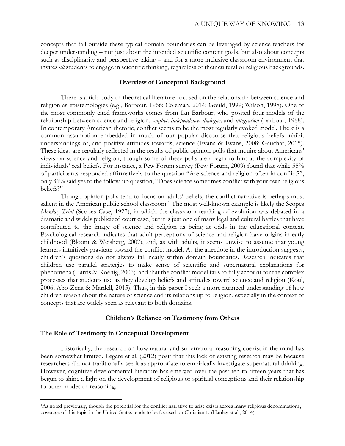concepts that fall outside these typical domain boundaries can be leveraged by science teachers for deeper understanding – not just about the intended scientific content goals, but also about concepts such as disciplinarity and perspective taking – and for a more inclusive classroom environment that invites *all* students to engage in scientific thinking, regardless of their cultural or religious backgrounds.

#### **Overview of Conceptual Background**

There is a rich body of theoretical literature focused on the relationship between science and religion as epistemologies (e.g., Barbour, 1966; Coleman, 2014; Gould, 1999; Wilson, 1998). One of the most commonly cited frameworks comes from Ian Barbour, who posited four models of the relationship between science and religion: *conflict, independence, dialogue,* and *integration* (Barbour, 1988). In contemporary American rhetoric, conflict seems to be the most regularly evoked model. There is a common assumption embedded in much of our popular discourse that religious beliefs inhibit understandings of, and positive attitudes towards, science (Evans & Evans, 2008; Gauchat, 2015). These ideas are regularly reflected in the results of public opinion polls that inquire about Americans' views on science and religion, though some of these polls also begin to hint at the complexity of individuals' real beliefs. For instance, a Pew Forum survey (Pew Forum, 2009) found that while 55% of participants responded affirmatively to the question "Are science and religion often in conflict?", only 36% said yes to the follow-up question, "Does science sometimes conflict with your own religious beliefs?"

Though opinion polls tend to focus on adults' beliefs, the conflict narrative is perhaps most salient in the American public school classroom.<sup>[1](#page-3-0)</sup> The most well-known example is likely the Scopes *Monkey Trial* (Scopes Case, 1927), in which the classroom teaching of evolution was debated in a dramatic and widely publicized court case, but it is just one of many legal and cultural battles that have contributed to the image of science and religion as being at odds in the educational context. Psychological research indicates that adult perceptions of science and religion have origins in early childhood (Bloom & Weisberg, 2007), and, as with adults, it seems unwise to assume that young learners intuitively gravitate toward the conflict model. As the anecdote in the introduction suggests, children's questions do not always fall neatly within domain boundaries. Research indicates that children use parallel strategies to make sense of scientific and supernatural explanations for phenomena (Harris & Koenig, 2006), and that the conflict model fails to fully account for the complex processes that students use as they develop beliefs and attitudes toward science and religion (Koul, 2006; Abo-Zena & Mardell, 2015). Thus, in this paper I seek a more nuanced understanding of how children reason about the nature of science and its relationship to religion, especially in the context of concepts that are widely seen as relevant to both domains.

#### **Children's Reliance on Testimony from Others**

#### **The Role of Testimony in Conceptual Development**

 $\overline{a}$ 

Historically, the research on how natural and supernatural reasoning coexist in the mind has been somewhat limited. Legare et al. (2012) posit that this lack of existing research may be because researchers did not traditionally see it as appropriate to empirically investigate supernatural thinking. However, cognitive developmental literature has emerged over the past ten to fifteen years that has begun to shine a light on the development of religious or spiritual conceptions and their relationship to other modes of reasoning.

<span id="page-3-0"></span><sup>1</sup>As noted previously, though the potential for the conflict narrative to arise exists across many religious denominations, coverage of this topic in the United States tends to be focused on Christianity (Hanley et al., 2014).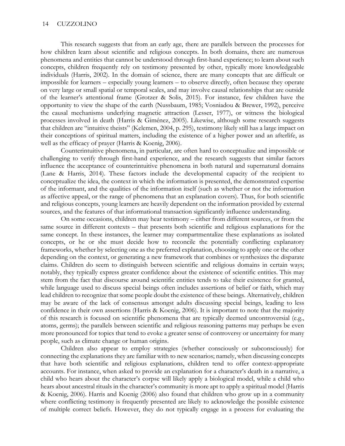This research suggests that from an early age, there are parallels between the processes for how children learn about scientific and religious concepts. In both domains, there are numerous phenomena and entities that cannot be understood through first-hand experience; to learn about such concepts, children frequently rely on testimony presented by other, typically more knowledgeable individuals (Harris, 2002). In the domain of science, there are many concepts that are difficult or impossible for learners – especially young learners – to observe directly, often because they operate on very large or small spatial or temporal scales, and may involve causal relationships that are outside of the learner's attentional frame (Grotzer & Solis, 2015). For instance, few children have the opportunity to view the shape of the earth (Nussbaum, 1985; Vosniadou & Brewer, 1992), perceive the causal mechanisms underlying magnetic attraction (Lesser, 1977), or witness the biological processes involved in death (Harris & Giménez, 2005). Likewise, although some research suggests that children are "intuitive theists" (Kelemen, 2004, p. 295), testimony likely still has a large impact on their conceptions of spiritual matters, including the existence of a higher power and an afterlife, as well as the efficacy of prayer (Harris & Koenig, 2006).

Counterintuitive phenomena, in particular, are often hard to conceptualize and impossible or challenging to verify through first-hand experience, and the research suggests that similar factors influence the acceptance of counterintuitive phenomena in both natural and supernatural domains (Lane & Harris, 2014). These factors include the developmental capacity of the recipient to conceptualize the idea, the context in which the information is presented, the demonstrated expertise of the informant, and the qualities of the information itself (such as whether or not the information as affective appeal, or the range of phenomena that an explanation covers). Thus, for both scientific and religious concepts, young learners are heavily dependent on the information provided by external sources, and the features of that informational transaction significantly influence understanding.

On some occasions, children may hear testimony – either from different sources, or from the same source in different contexts – that presents both scientific and religious explanations for the same concept. In these instances, the learner may compartmentalize these explanations as isolated concepts, or he or she must decide how to reconcile the potentially conflicting explanatory frameworks, whether by selecting one as the preferred explanation, choosing to apply one or the other depending on the context, or generating a new framework that combines or synthesizes the disparate claims. Children do seem to distinguish between scientific and religious domains in certain ways; notably, they typically express greater confidence about the existence of scientific entities. This may stem from the fact that discourse around scientific entities tends to take their existence for granted, while language used to discuss special beings often includes assertions of belief or faith, which may lead children to recognize that some people doubt the existence of these beings. Alternatively, children may be aware of the lack of consensus amongst adults discussing special beings, leading to less confidence in their own assertions (Harris & Koenig, 2006). It is important to note that the majority of this research is focused on scientific phenomena that are typically deemed uncontroversial (e.g., atoms, germs); the parallels between scientific and religious reasoning patterns may perhaps be even more pronounced for topics that tend to evoke a greater sense of controversy or uncertainty for many people, such as climate change or human origins.

Children also appear to employ strategies (whether consciously or subconsciously) for connecting the explanations they are familiar with to new scenarios; namely, when discussing concepts that have both scientific and religious explanations, children tend to offer context-appropriate accounts. For instance, when asked to provide an explanation for a character's death in a narrative, a child who hears about the character's corpse will likely apply a biological model, while a child who hears about ancestral rituals in the character's community is more apt to apply a spiritual model (Harris & Koenig, 2006). Harris and Koenig (2006) also found that children who grow up in a community where conflicting testimony is frequently presented are likely to acknowledge the possible existence of multiple correct beliefs. However, they do not typically engage in a process for evaluating the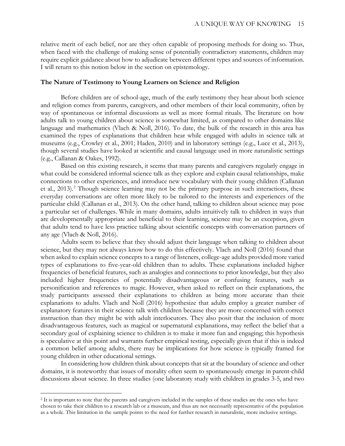relative merit of each belief, nor are they often capable of proposing methods for doing so. Thus, when faced with the challenge of making sense of potentially contradictory statements, children may require explicit guidance about how to adjudicate between different types and sources of information. I will return to this notion below in the section on epistemology.

#### **The Nature of Testimony to Young Learners on Science and Religion**

Before children are of school-age, much of the early testimony they hear about both science and religion comes from parents, caregivers, and other members of their local community, often by way of spontaneous or informal discussions as well as more formal rituals. The literature on how adults talk to young children about science is somewhat limited, as compared to other domains like language and mathematics (Vlach & Noll, 2016). To date, the bulk of the research in this area has examined the types of explanations that children hear while engaged with adults in science talk at museums (e.g., Crowley et al., 2001; Haden, 2010) and in laboratory settings (e.g., Luce et al., 2013), though several studies have looked at scientific and causal language used in more naturalistic settings (e.g., Callanan & Oakes, 1992).

Based on this existing research, it seems that many parents and caregivers regularly engage in what could be considered informal science talk as they explore and explain causal relationships, make connections to other experiences, and introduce new vocabulary with their young children (Callanan et al., [2](#page-5-0)013).<sup>2</sup> Though science learning may not be the primary purpose in such interactions, these everyday conversations are often more likely to be tailored to the interests and experiences of the particular child (Callanan et al., 2013). On the other hand, talking to children about science may pose a particular set of challenges. While in many domains, adults intuitively talk to children in ways that are developmentally appropriate and beneficial to their learning, science may be an exception, given that adults tend to have less practice talking about scientific concepts with conversation partners of any age (Vlach & Noll, 2016).

Adults seem to believe that they should adjust their language when talking to children about science, but they may not always know how to do this effectively. Vlach and Noll (2016) found that when asked to explain science concepts to a range of listeners, college-age adults provided more varied types of explanations to five-year-old children than to adults. These explanations included higher frequencies of beneficial features, such as analogies and connections to prior knowledge, but they also included higher frequencies of potentially disadvantageous or confusing features, such as personification and references to magic. However, when asked to reflect on their explanations, the study participants assessed their explanations to children as being more accurate than their explanations to adults. Vlach and Noll (2016) hypothesize that adults employ a greater number of explanatory features in their science talk with children because they are more concerned with correct instruction than they might be with adult interlocutors. They also posit that the inclusion of more disadvantageous features, such as magical or supernatural explanations, may reflect the belief that a secondary goal of explaining science to children is to make it more fun and engaging; this hypothesis is speculative at this point and warrants further empirical testing, especially given that if this is indeed a common belief among adults, there may be implications for how science is typically framed for young children in other educational settings.

In considering how children think about concepts that sit at the boundary of science and other domains, it is noteworthy that issues of morality often seem to spontaneously emerge in parent-child discussions about science. In three studies (one laboratory study with children in grades 3-5, and two

 $\overline{a}$ 

<span id="page-5-0"></span><sup>&</sup>lt;sup>2</sup> It is important to note that the parents and caregivers included in the samples of these studies are the ones who have chosen to take their children to a research lab or a museum, and thus are not necessarily representative of the population as a whole. This limitation in the sample points to the need for further research in naturalistic, more inclusive settings.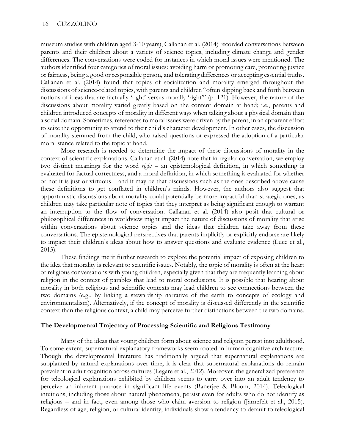museum studies with children aged 3-10 years), Callanan et al. (2014) recorded conversations between parents and their children about a variety of science topics, including climate change and gender differences. The conversations were coded for instances in which moral issues were mentioned. The authors identified four categories of moral issues: avoiding harm or promoting care, promoting justice or fairness, being a good or responsible person, and tolerating differences or accepting essential truths. Callanan et al. (2014) found that topics of socialization and morality emerged throughout the discussions of science-related topics, with parents and children "often slipping back and forth between notions of ideas that are factually 'right' versus morally 'right'" (p. 121). However, the nature of the discussions about morality varied greatly based on the content domain at hand; i.e., parents and children introduced concepts of morality in different ways when talking about a physical domain than a social domain. Sometimes, references to moral issues were driven by the parent, in an apparent effort to seize the opportunity to attend to their child's character development. In other cases, the discussion of morality stemmed from the child, who raised questions or expressed the adoption of a particular moral stance related to the topic at hand.

More research is needed to determine the impact of these discussions of morality in the context of scientific explanations. Callanan et al. (2014) note that in regular conversation, we employ two distinct meanings for the word *right* – an epistemological definition, in which something is evaluated for factual correctness, and a moral definition, in which something is evaluated for whether or not it is just or virtuous – and it may be that discussions such as the ones described above cause these definitions to get conflated in children's minds. However, the authors also suggest that opportunistic discussions about morality could potentially be more impactful than strategic ones, as children may take particular note of topics that they interpret as being significant enough to warrant an interruption to the flow of conversation. Callanan et al. (2014) also posit that cultural or philosophical differences in worldview might impact the nature of discussions of morality that arise within conversations about science topics and the ideas that children take away from these conversations. The epistemological perspectives that parents implicitly or explicitly endorse are likely to impact their children's ideas about how to answer questions and evaluate evidence (Luce et al., 2013).

These findings merit further research to explore the potential impact of exposing children to the idea that morality is relevant to scientific issues. Notably, the topic of morality is often at the heart of religious conversations with young children, especially given that they are frequently learning about religion in the context of parables that lead to moral conclusions. It is possible that hearing about morality in both religious and scientific contexts may lead children to see connections between the two domains (e.g., by linking a stewardship narrative of the earth to concepts of ecology and environmentalism). Alternatively, if the concept of morality is discussed differently in the scientific context than the religious context, a child may perceive further distinctions between the two domains.

#### **The Developmental Trajectory of Processing Scientific and Religious Testimony**

Many of the ideas that young children form about science and religion persist into adulthood. To some extent, supernatural explanatory frameworks seem rooted in human cognitive architecture. Though the developmental literature has traditionally argued that supernatural explanations are supplanted by natural explanations over time, it is clear that supernatural explanations do remain prevalent in adult cognition across cultures (Legare et al., 2012). Moreover, the generalized preference for teleological explanations exhibited by children seems to carry over into an adult tendency to perceive an inherent purpose in significant life events (Banerjee & Bloom, 2014). Teleological intuitions, including those about natural phenomena, persist even for adults who do not identify as religious – and in fact, even among those who claim aversion to religion (Järnefelt et al., 2015). Regardless of age, religion, or cultural identity, individuals show a tendency to default to teleological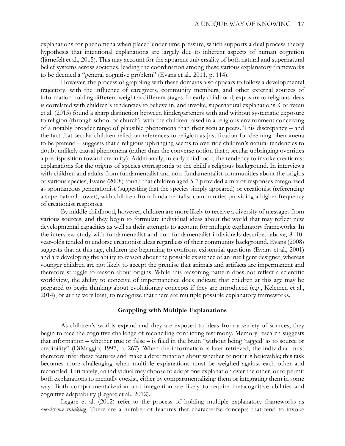explanations for phenomena when placed under time pressure, which supports a dual process theory hypothesis that intentional explanations are largely due to inherent aspects of human cognition (Järnefelt et al., 2015). This may account for the apparent universality of both natural and supernatural belief systems across societies, leading the coordination among these various explanatory frameworks to be deemed a "general cognitive problem" (Evans et al., 2011, p. 114).

However, the process of grappling with these domains also appears to follow a developmental trajectory, with the influence of caregivers, community members, and other external sources of information holding different weight at different stages. In early childhood, exposure to religious ideas is correlated with children's tendencies to believe in, and invoke, supernatural explanations. Corriveau et al. (2015) found a sharp distinction between kindergarteners with and without systematic exposure to religion (through school or church), with the children raised in a religious environment conceiving of a notably broader range of plausible phenomena than their secular peers. This discrepancy – and the fact that secular children relied on references to religion as justification for deeming phenomena to be pretend – suggests that a religious upbringing seems to override children's natural tendencies to doubt unlikely causal phenomena (rather than the converse notion that a secular upbringing overrides a predisposition toward credulity). Additionally, in early childhood, the tendency to invoke creationist explanations for the origins of species corresponds to the child's religious background. In interviews with children and adults from fundamentalist and non-fundamentalist communities about the origins of various species, Evans (2008) found that children aged 5-7 provided a mix of responses categorized as spontaneous generationist (suggesting that the species simply appeared) or creationist (referencing a supernatural power), with children from fundamentalist communities providing a higher frequency of creationist responses.

By middle childhood, however, children are more likely to receive a diversity of messages from various sources, and they begin to formulate individual ideas about the world that may reflect new developmental capacities as well as their attempts to account for multiple explanatory frameworks. In the interview study with fundamentalist and non-fundamentalist individuals described above, 8–10 year-olds tended to endorse creationist ideas regardless of their community background. Evans (2008) suggests that at this age, children are beginning to confront existential questions (Evans et al., 2001) and are developing the ability to reason about the possible existence of an intelligent designer, whereas younger children are not likely to accept the premise that animals and artifacts are impermanent and therefore struggle to reason about origins. While this reasoning pattern does not reflect a scientific worldview, the ability to conceive of impermanence does indicate that children at this age may be prepared to begin thinking about evolutionary concepts if they are introduced (e.g., Kelemen et al., 2014), or at the very least, to recognize that there are multiple possible explanatory frameworks.

#### **Grappling with Multiple Explanations**

As children's worlds expand and they are exposed to ideas from a variety of sources, they begin to face the cognitive challenge of reconciling conflicting testimony. Memory research suggests that information – whether true or false – is filed in the brain "without being 'tagged' as to source or credibility" (DiMaggio, 1997, p. 267). When the information is later retrieved, the individual must therefore infer these features and make a determination about whether or not it is believable; this task becomes more challenging when multiple explanations must be weighed against each other and reconciled. Ultimately, an individual may choose to adopt one explanation over the other, or to permit both explanations to mentally coexist, either by compartmentalizing them or integrating them in some way. Both compartmentalization and integration are likely to require metacognitive abilities and cognitive adaptability (Legare et al., 2012).

Legare et al. (2012) refer to the process of holding multiple explanatory frameworks as *coexistence thinking*. There are a number of features that characterize concepts that tend to invoke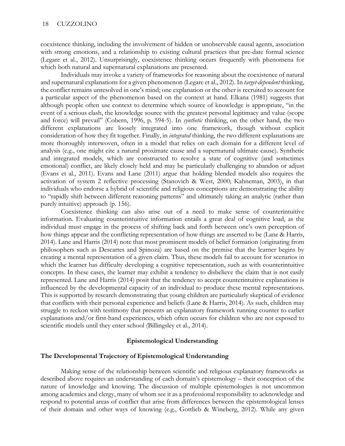coexistence thinking, including the involvement of hidden or unobservable causal agents, association with strong emotions, and a relationship to existing cultural practices that pre-date formal science (Legare et al., 2012). Unsurprisingly, coexistence thinking occurs frequently with phenomena for which both natural and supernatural explanations are presented.

Individuals may invoke a variety of frameworks for reasoning about the coexistence of natural and supernatural explanations for a given phenomenon (Legare et al., 2012). In *target-dependent* thinking, the conflict remains unresolved in one's mind; one explanation or the other is recruited to account for a particular aspect of the phenomenon based on the context at hand. Elkana (1981) suggests that although people often use context to determine which source of knowledge is appropriate, "in the event of a serious clash, the knowledge source with the greatest personal legitimacy and value (scope and force) will prevail" (Cobern, 1996, p. 594-5). In *synthetic* thinking, on the other hand, the two different explanations are loosely integrated into one framework, though without explicit consideration of how they fit together. Finally, in *integrated* thinking, the two different explanations are more thoroughly interwoven, often in a model that relies on each domain for a different level of analysis (e.g., one might cite a natural proximate cause and a supernatural ultimate cause). Synthetic and integrated models, which are constructed to resolve a state of cognitive (and sometimes emotional) conflict, are likely closely held and may be particularly challenging to abandon or adjust (Evans et al., 2011). Evans and Lane (2011) argue that holding blended models also requires the activation of system 2 reflective processing (Stanovich & West, 2000; Kahneman, 2003), in that individuals who endorse a hybrid of scientific and religious conceptions are demonstrating the ability to "rapidly shift between different reasoning patterns" and ultimately taking an analytic (rather than purely intuitive) approach (p. 156).

Coexistence thinking can also arise out of a need to make sense of counterintuitive information. Evaluating counterintuitive information entails a great deal of cognitive load, as the individual must engage in the process of shifting back and forth between one's own perception of how things appear and the conflicting representation of how things are asserted to be (Lane & Harris, 2014). Lane and Harris (2014) note that most prominent models of belief formation (originating from philosophers such as Descartes and Spinoza) are based on the premise that the learner begins by creating a mental representation of a given claim. Thus, these models fail to account for scenarios in which the learner has difficulty developing a cognitive representation, such as with counterintuitive concepts. In these cases, the learner may exhibit a tendency to disbelieve the claim that is not easily represented. Lane and Harris (2014) posit that the tendency to accept counterintuitive explanations is influenced by the developmental capacity of an individual to produce these mental representations. This is supported by research demonstrating that young children are particularly skeptical of evidence that conflicts with their personal experience and beliefs (Lane & Harris, 2014). As such, children may struggle to reckon with testimony that presents an explanatory framework running counter to earlier explanations and/or first-hand experiences, which often occurs for children who are not exposed to scientific models until they enter school (Billingsley et al., 2014).

### **Epistemological Understanding**

### **The Developmental Trajectory of Epistemological Understanding**

Making sense of the relationship between scientific and religious explanatory frameworks as described above requires an understanding of each domain's epistemology – their conception of the nature of knowledge and knowing. The discussion of multiple epistemologies is not uncommon among academics and clergy, many of whom see it as a professional responsibility to acknowledge and respond to potential areas of conflict that arise from differences between the epistemological lenses of their domain and other ways of knowing (e.g., Gottlieb & Wineberg, 2012). While any given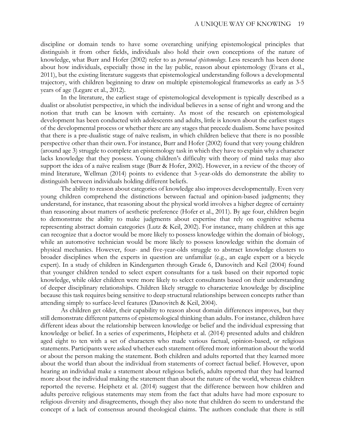discipline or domain tends to have some overarching unifying epistemological principles that distinguish it from other fields, individuals also hold their own conceptions of the nature of knowledge, what Burr and Hofer (2002) refer to as *personal epistemology*. Less research has been done about how individuals, especially those in the lay public, reason about epistemology (Evans et al., 2011), but the existing literature suggests that epistemological understanding follows a developmental trajectory, with children beginning to draw on multiple epistemological frameworks as early as 3-5 years of age (Legare et al., 2012).

In the literature, the earliest stage of epistemological development is typically described as a dualist or absolutist perspective, in which the individual believes in a sense of right and wrong and the notion that truth can be known with certainty. As most of the research on epistemological development has been conducted with adolescents and adults, little is known about the earliest stages of the developmental process or whether there are any stages that precede dualism. Some have posited that there is a pre-dualistic stage of naïve realism, in which children believe that there is no possible perspective other than their own. For instance, Burr and Hofer (2002) found that very young children (around age 3) struggle to complete an epistemology task in which they have to explain why a character lacks knowledge that they possess. Young children's difficulty with theory of mind tasks may also support the idea of a naïve realism stage (Burr & Hofer, 2002). However, in a review of the theory of mind literature, Wellman (2014) points to evidence that 3-year-olds do demonstrate the ability to distinguish between individuals holding different beliefs.

The ability to reason about categories of knowledge also improves developmentally. Even very young children comprehend the distinctions between factual and opinion-based judgments; they understand, for instance, that reasoning about the physical world involves a higher degree of certainty than reasoning about matters of aesthetic preference (Hofer et al., 2011). By age four, children begin to demonstrate the ability to make judgments about expertise that rely on cognitive schema representing abstract domain categories (Lutz & Keil, 2002). For instance, many children at this age can recognize that a doctor would be more likely to possess knowledge within the domain of biology, while an automotive technician would be more likely to possess knowledge within the domain of physical mechanics. However, four- and five-year-olds struggle to abstract knowledge clusters to broader disciplines when the experts in question are unfamiliar (e.g., an eagle expert or a bicycle expert). In a study of children in Kindergarten through Grade 6, Danovitch and Keil (2004) found that younger children tended to select expert consultants for a task based on their reported topic knowledge, while older children were more likely to select consultants based on their understanding of deeper disciplinary relationships. Children likely struggle to characterize knowledge by discipline because this task requires being sensitive to deep structural relationships between concepts rather than attending simply to surface-level features (Danovitch & Keil, 2004).

As children get older, their capability to reason about domain differences improves, but they still demonstrate different patterns of epistemological thinking than adults. For instance, children have different ideas about the relationship between knowledge or belief and the individual expressing that knowledge or belief. In a series of experiments, Heiphetz et al. (2014) presented adults and children aged eight to ten with a set of characters who made various factual, opinion-based, or religious statements. Participants were asked whether each statement offered more information about the world or about the person making the statement. Both children and adults reported that they learned more about the world than about the individual from statements of correct factual belief. However, upon hearing an individual make a statement about religious beliefs, adults reported that they had learned more about the individual making the statement than about the nature of the world, whereas children reported the reverse. Heiphetz et al. (2014) suggest that the difference between how children and adults perceive religious statements may stem from the fact that adults have had more exposure to religious diversity and disagreements, though they also note that children do seem to understand the concept of a lack of consensus around theological claims. The authors conclude that there is still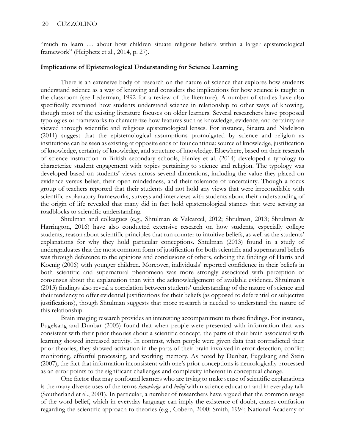"much to learn … about how children situate religious beliefs within a larger epistemological framework" (Heiphetz et al., 2014, p. 27).

#### **Implications of Epistemological Understanding for Science Learning**

There is an extensive body of research on the nature of science that explores how students understand science as a way of knowing and considers the implications for how science is taught in the classroom (see Lederman, 1992 for a review of the literature). A number of studies have also specifically examined how students understand science in relationship to other ways of knowing, though most of the existing literature focuses on older learners. Several researchers have proposed typologies or frameworks to characterize how features such as knowledge, evidence, and certainty are viewed through scientific and religious epistemological lenses. For instance, Sinatra and Nadelson (2011) suggest that the epistemological assumptions promulgated by science and religion as institutions can be seen as existing at opposite ends of four continua: source of knowledge, justification of knowledge, certainty of knowledge, and structure of knowledge. Elsewhere, based on their research of science instruction in British secondary schools, Hanley et al. (2014) developed a typology to characterize student engagement with topics pertaining to science and religion. The typology was developed based on students' views across several dimensions, including the value they placed on evidence versus belief, their open-mindedness, and their tolerance of uncertainty. Though a focus group of teachers reported that their students did not hold any views that were irreconcilable with scientific explanatory frameworks, surveys and interviews with students about their understanding of the origin of life revealed that many did in fact hold epistemological stances that were serving as roadblocks to scientific understanding.

Shtulman and colleagues (e.g., Shtulman & Valcarcel, 2012; Shtulman, 2013; Shtulman & Harrington, 2016) have also conducted extensive research on how students, especially college students, reason about scientific principles that run counter to intuitive beliefs, as well as the students' explanations for why they hold particular conceptions. Shtulman (2013) found in a study of undergraduates that the most common form of justification for both scientific and supernatural beliefs was through deference to the opinions and conclusions of others, echoing the findings of Harris and Koenig (2006) with younger children. Moreover, individuals' reported confidence in their beliefs in both scientific and supernatural phenomena was more strongly associated with perception of consensus about the explanation than with the acknowledgement of available evidence. Shtulman's (2013) findings also reveal a correlation between students' understanding of the nature of science and their tendency to offer evidential justifications for their beliefs (as opposed to deferential or subjective justifications), though Shtulman suggests that more research is needed to understand the nature of this relationship.

Brain imaging research provides an interesting accompaniment to these findings. For instance, Fugelsang and Dunbar (2005) found that when people were presented with information that was consistent with their prior theories about a scientific concept, the parts of their brain associated with learning showed increased activity. In contrast, when people were given data that contradicted their prior theories, they showed activation in the parts of their brain involved in error detection, conflict monitoring, effortful processing, and working memory. As noted by Dunbar, Fugelsang and Stein (2007), the fact that information inconsistent with one's prior conceptions is neurologically processed as an error points to the significant challenges and complexity inherent in conceptual change.

One factor that may confound learners who are trying to make sense of scientific explanations is the many diverse uses of the terms *knowledge* and *belief* within science education and in everyday talk (Southerland et al., 2001). In particular, a number of researchers have argued that the common usage of the word belief, which in everyday language can imply the existence of doubt, causes confusion regarding the scientific approach to theories (e.g., Cobern, 2000; Smith, 1994; National Academy of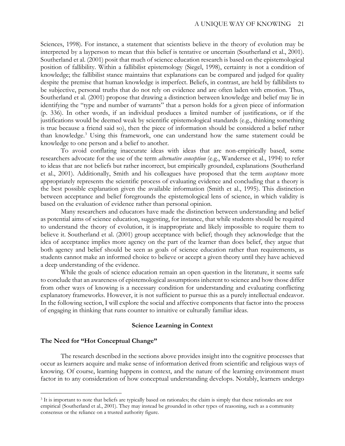Sciences, 1998). For instance, a statement that scientists believe in the theory of evolution may be interpreted by a layperson to mean that this belief is tentative or uncertain (Southerland et al., 2001). Southerland et al. (2001) posit that much of science education research is based on the epistemological position of fallibility. Within a fallibilist epistemology (Siegel, 1998), certainty is not a condition of knowledge; the fallibilist stance maintains that explanations can be compared and judged for quality despite the premise that human knowledge is imperfect. Beliefs, in contrast, are held by fallibilists to be subjective, personal truths that do not rely on evidence and are often laden with emotion. Thus, Southerland et al. (2001) propose that drawing a distinction between knowledge and belief may lie in identifying the "type and number of warrants" that a person holds for a given piece of information (p. 336). In other words, if an individual produces a limited number of justifications, or if the justifications would be deemed weak by scientific epistemological standards (e.g., thinking something is true because a friend said so), then the piece of information should be considered a belief rather than knowledge.[3](#page-11-0) Using this framework, one can understand how the same statement could be knowledge to one person and a belief to another.

To avoid conflating inaccurate ideas with ideas that are non-empirically based, some researchers advocate for the use of the term *alternative conception* (e.g., Wandersee et al., 1994) to refer to ideas that are not beliefs but rather incorrect, but empirically grounded, explanations (Southerland et al., 2001). Additionally, Smith and his colleagues have proposed that the term *acceptance* more appropriately represents the scientific process of evaluating evidence and concluding that a theory is the best possible explanation given the available information (Smith et al., 1995). This distinction between acceptance and belief foregrounds the epistemological lens of science, in which validity is based on the evaluation of evidence rather than personal opinion.

Many researchers and educators have made the distinction between understanding and belief as potential aims of science education, suggesting, for instance, that while students should be required to understand the theory of evolution, it is inappropriate and likely impossible to require them to believe it. Southerland et al. (2001) group acceptance with belief; though they acknowledge that the idea of acceptance implies more agency on the part of the learner than does belief, they argue that both agency and belief should be seen as goals of science education rather than requirements, as students cannot make an informed choice to believe or accept a given theory until they have achieved a deep understanding of the evidence.

While the goals of science education remain an open question in the literature, it seems safe to conclude that an awareness of epistemological assumptions inherent to science and how those differ from other ways of knowing is a necessary condition for understanding and evaluating conflicting explanatory frameworks. However, it is not sufficient to pursue this as a purely intellectual endeavor. In the following section, I will explore the social and affective components that factor into the process of engaging in thinking that runs counter to intuitive or culturally familiar ideas.

#### **Science Learning in Context**

#### **The Need for "Hot Conceptual Change"**

 $\overline{a}$ 

The research described in the sections above provides insight into the cognitive processes that occur as learners acquire and make sense of information derived from scientific and religious ways of knowing. Of course, learning happens in context, and the nature of the learning environment must factor in to any consideration of how conceptual understanding develops. Notably, learners undergo

<span id="page-11-0"></span><sup>&</sup>lt;sup>3</sup> It is important to note that beliefs are typically based on rationales; the claim is simply that these rationales are not empirical (Southerland et al., 2001). They may instead be grounded in other types of reasoning, such as a community consensus or the reliance on a trusted authority figure.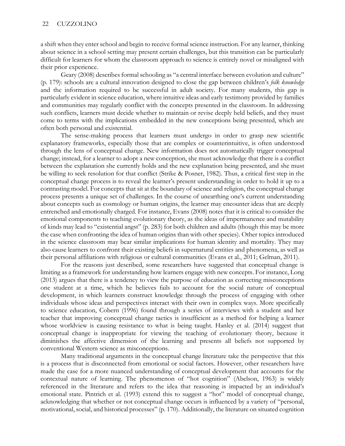a shift when they enter school and begin to receive formal science instruction. For any learner, thinking about science in a school setting may present certain challenges, but this transition can be particularly difficult for learners for whom the classroom approach to science is entirely novel or misaligned with their prior experience.

Geary (2008) describes formal schooling as "a central interface between evolution and culture" (p. 179): schools are a cultural innovation designed to close the gap between children's *folk knowledge* and the information required to be successful in adult society. For many students, this gap is particularly evident in science education, where intuitive ideas and early testimony provided by families and communities may regularly conflict with the concepts presented in the classroom. In addressing such conflicts, learners must decide whether to maintain or revise deeply held beliefs, and they must come to terms with the implications embedded in the new conceptions being presented, which are often both personal and existential.

The sense-making process that learners must undergo in order to grasp new scientific explanatory frameworks, especially those that are complex or counterintuitive, is often understood through the lens of conceptual change. New information does not automatically trigger conceptual change; instead, for a learner to adopt a new conception, she must acknowledge that there is a conflict between the explanation she currently holds and the new explanation being presented, and she must be willing to seek resolution for that conflict (Strike & Posner, 1982). Thus, a critical first step in the conceptual change process is to reveal the learner's present understanding in order to hold it up to a contrasting model. For concepts that sit at the boundary of science and religion, the conceptual change process presents a unique set of challenges. In the course of unearthing one's current understanding about concepts such as cosmology or human origins, the learner may encounter ideas that are deeply entrenched and emotionally charged. For instance, Evans (2008) notes that it is critical to consider the emotional components to teaching evolutionary theory, as the ideas of impermanence and mutability of kinds may lead to "existential angst" (p. 283) for both children and adults (though this may be more the case when confronting the idea of human origins than with other species). Other topics introduced in the science classroom may bear similar implications for human identity and mortality. They may also cause learners to confront their existing beliefs in supernatural entities and phenomena, as well as their personal affiliations with religious or cultural communities (Evans et al., 2011; Gelman, 2011).

For the reasons just described, some researchers have suggested that conceptual change is limiting as a framework for understanding how learners engage with new concepts. For instance, Long (2013) argues that there is a tendency to view the purpose of education as correcting misconceptions one student at a time, which he believes fails to account for the social nature of conceptual development, in which learners construct knowledge through the process of engaging with other individuals whose ideas and perspectives interact with their own in complex ways. More specifically to science education, Cobern (1996) found through a series of interviews with a student and her teacher that improving conceptual change tactics is insufficient as a method for helping a learner whose worldview is causing resistance to what is being taught. Hanley et al. (2014) suggest that conceptual change is inappropriate for viewing the teaching of evolutionary theory, because it diminishes the affective dimension of the learning and presents all beliefs not supported by conventional Western science as misconceptions.

Many traditional arguments in the conceptual change literature take the perspective that this is a process that is disconnected from emotional or social factors. However, other researchers have made the case for a more nuanced understanding of conceptual development that accounts for the contextual nature of learning. The phenomenon of "hot cognition" (Abelson, 1963) is widely referenced in the literature and refers to the idea that reasoning is impacted by an individual's emotional state. Pintrich et al. (1993) extend this to suggest a "hot" model of conceptual change, acknowledging that whether or not conceptual change occurs is influenced by a variety of "personal, motivational, social, and historical processes" (p. 170). Additionally, the literature on situated cognition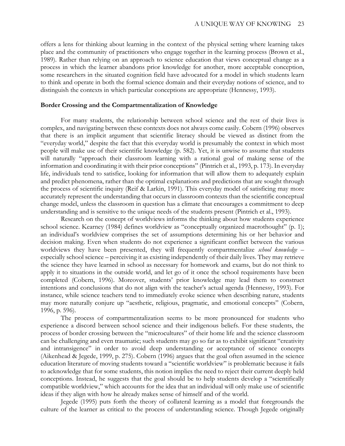offers a lens for thinking about learning in the context of the physical setting where learning takes place and the community of practitioners who engage together in the learning process (Brown et al., 1989). Rather than relying on an approach to science education that views conceptual change as a process in which the learner abandons prior knowledge for another, more acceptable conception, some researchers in the situated cognition field have advocated for a model in which students learn to think and operate in both the formal science domain and their everyday notions of science, and to distinguish the contexts in which particular conceptions are appropriate (Hennessy, 1993).

#### **Border Crossing and the Compartmentalization of Knowledge**

For many students, the relationship between school science and the rest of their lives is complex, and navigating between these contexts does not always come easily. Cobern (1996) observes that there is an implicit argument that scientific literacy should be viewed as distinct from the "everyday world," despite the fact that this everyday world is presumably the context in which most people will make use of their scientific knowledge (p. 582). Yet, it is unwise to assume that students will naturally "approach their classroom learning with a rational goal of making sense of the information and coordinating it with their prior conceptions" (Pintrich et al., 1993, p. 173). In everyday life, individuals tend to satisfice, looking for information that will allow them to adequately explain and predict phenomena, rather than the optimal explanations and predictions that are sought through the process of scientific inquiry (Reif & Larkin, 1991). This everyday model of satisficing may more accurately represent the understanding that occurs in classroom contexts than the scientific conceptual change model, unless the classroom in question has a climate that encourages a commitment to deep understanding and is sensitive to the unique needs of the students present (Pintrich et al., 1993).

Research on the concept of worldviews informs the thinking about how students experience school science. Kearney (1984) defines worldview as "conceptually organized macrothought" (p. 1); an individual's worldview comprises the set of assumptions determining his or her behavior and decision making. Even when students do not experience a significant conflict between the various worldviews they have been presented, they will frequently compartmentalize *school knowledge* – especially school science – perceiving it as existing independently of their daily lives. They may retrieve the science they have learned in school as necessary for homework and exams, but do not think to apply it to situations in the outside world, and let go of it once the school requirements have been completed (Cobern, 1996). Moreover, students' prior knowledge may lead them to construct intentions and conclusions that do not align with the teacher's actual agenda (Hennessy, 1993). For instance, while science teachers tend to immediately evoke science when describing nature, students may more naturally conjure up "aesthetic, religious, pragmatic, and emotional concepts" (Cobern, 1996, p. 596).

The process of compartmentalization seems to be more pronounced for students who experience a discord between school science and their indigenous beliefs. For these students, the process of border crossing between the "microcultures" of their home life and the science classroom can be challenging and even traumatic; such students may go so far as to exhibit significant "creativity and intransigence" in order to avoid deep understanding or acceptance of science concepts (Aikenhead & Jegede, 1999, p. 275). Cobern (1996) argues that the goal often assumed in the science education literature of moving students toward a "scientific worldview" is problematic because it fails to acknowledge that for some students, this notion implies the need to reject their current deeply held conceptions. Instead, he suggests that the goal should be to help students develop a "scientifically compatible worldview," which accounts for the idea that an individual will only make use of scientific ideas if they align with how he already makes sense of himself and of the world.

Jegede (1995) puts forth the theory of collateral learning as a model that foregrounds the culture of the learner as critical to the process of understanding science. Though Jegede originally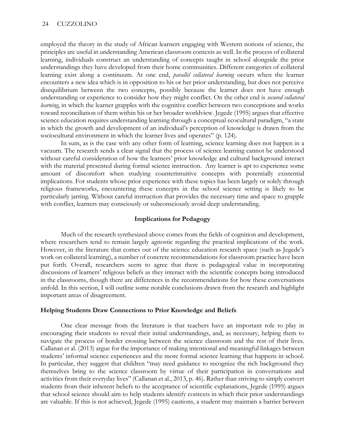employed the theory in the study of African learners engaging with Western notions of science, the principles are useful in understanding American classroom contexts as well. In the process of collateral learning, individuals construct an understanding of concepts taught in school alongside the prior understandings they have developed from their home communities. Different categories of collateral learning exist along a continuum. At one end, *parallel collateral learning* occurs when the learner encounters a new idea which is in opposition to his or her prior understanding, but does not perceive disequilibrium between the two concepts, possibly because the learner does not have enough understanding or experience to consider how they might conflict. On the other end is *secured collateral learning*, in which the learner grapples with the cognitive conflict between two conceptions and works toward reconciliation of them within his or her broader worldview. Jegede (1995) argues that effective science education requires understanding learning through a conceptual ecocultural paradigm, "a state in which the growth and development of an individual's perception of knowledge is drawn from the sociocultural environment in which the learner lives and operates" (p. 124).

In sum, as is the case with any other form of learning, science learning does not happen in a vacuum. The research sends a clear signal that the process of science learning cannot be understood without careful consideration of how the learners' prior knowledge and cultural background interact with the material presented during formal science instruction. Any learner is apt to experience some amount of discomfort when studying counterintuitive concepts with potentially existential implications. For students whose prior experience with these topics has been largely or solely through religious frameworks, encountering these concepts in the school science setting is likely to be particularly jarring. Without careful instruction that provides the necessary time and space to grapple with conflict, learners may consciously or subconsciously avoid deep understanding.

#### **Implications for Pedagogy**

Much of the research synthesized above comes from the fields of cognition and development, where researchers tend to remain largely agnostic regarding the practical implications of the work. However, in the literature that comes out of the science education research space (such as Jegede's work on collateral learning), a number of concrete recommendations for classroom practice have been put forth. Overall, researchers seem to agree that there is pedagogical value in incorporating discussions of learners' religious beliefs as they interact with the scientific concepts being introduced in the classrooms, though there are differences in the recommendations for how these conversations unfold. In this section, I will outline some notable conclusions drawn from the research and highlight important areas of disagreement.

#### **Helping Students Draw Connections to Prior Knowledge and Beliefs**

One clear message from the literature is that teachers have an important role to play in encouraging their students to reveal their initial understandings, and, as necessary, helping them to navigate the process of border crossing between the science classroom and the rest of their lives. Callanan et al. (2013) argue for the importance of making intentional and meaningful linkages between students' informal science experiences and the more formal science learning that happens in school. In particular, they suggest that children "may need guidance to recognize the rich background they themselves bring to the science classroom by virtue of their participation in conversations and activities from their everyday lives" (Callanan et al., 2013, p. 46). Rather than striving to simply convert students from their inherent beliefs to the acceptance of scientific explanations, Jegede (1995) argues that school science should aim to help students identify contexts in which their prior understandings are valuable. If this is not achieved, Jegede (1995) cautions, a student may maintain a barrier between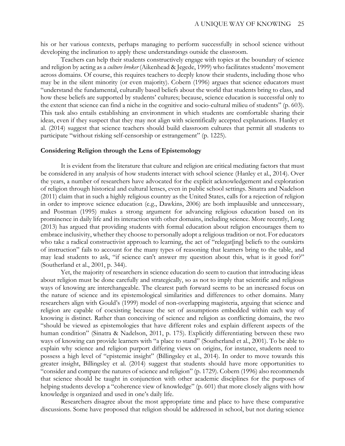his or her various contexts, perhaps managing to perform successfully in school science without developing the inclination to apply these understandings outside the classroom.

Teachers can help their students constructively engage with topics at the boundary of science and religion by acting as a *culture broker* (Aikenhead & Jegede, 1999) who facilitates students' movement across domains. Of course, this requires teachers to deeply know their students, including those who may be in the silent minority (or even majority). Cobern (1996) argues that science educators must "understand the fundamental, culturally based beliefs about the world that students bring to class, and how these beliefs are supported by students' cultures; because, science education is successful only to the extent that science can find a niche in the cognitive and socio-cultural milieu of students" (p. 603). This task also entails establishing an environment in which students are comfortable sharing their ideas, even if they suspect that they may not align with scientifically accepted explanations. Hanley et al. (2014) suggest that science teachers should build classroom cultures that permit all students to participate "without risking self-censorship or estrangement" (p. 1225).

#### **Considering Religion through the Lens of Epistemology**

It is evident from the literature that culture and religion are critical mediating factors that must be considered in any analysis of how students interact with school science (Hanley et al., 2014). Over the years, a number of researchers have advocated for the explicit acknowledgement and exploration of religion through historical and cultural lenses, even in public school settings. Sinatra and Nadelson (2011) claim that in such a highly religious country as the United States, calls for a rejection of religion in order to improve science education (e.g., Dawkins, 2006) are both implausible and unnecessary, and Postman (1995) makes a strong argument for advancing religious education based on its prominence in daily life and its interaction with other domains, including science. More recently, Long (2013) has argued that providing students with formal education about religion encourages them to embrace inclusivity, whether they choose to personally adopt a religious tradition or not. For educators who take a radical constructivist approach to learning, the act of "relegat[ing] beliefs to the outskirts of instruction" fails to account for the many types of reasoning that learners bring to the table, and may lead students to ask, "if science can't answer my question about this, what is it good for?" (Southerland et al., 2001, p. 344).

Yet, the majority of researchers in science education do seem to caution that introducing ideas about religion must be done carefully and strategically, so as not to imply that scientific and religious ways of knowing are interchangeable. The clearest path forward seems to be an increased focus on the nature of science and its epistemological similarities and differences to other domains. Many researchers align with Gould's (1999) model of non-overlapping magisteria, arguing that science and religion are capable of coexisting because the set of assumptions embedded within each way of knowing is distinct. Rather than conceiving of science and religion as conflicting domains, the two "should be viewed as epistemologies that have different roles and explain different aspects of the human condition" (Sinatra & Nadelson, 2011, p. 175). Explicitly differentiating between these two ways of knowing can provide learners with "a place to stand" (Southerland et al., 2001). To be able to explain why science and religion purport differing views on origins, for instance, students need to possess a high level of "epistemic insight" (Billingsley et al., 2014). In order to move towards this greater insight, Billingsley et al. (2014) suggest that students should have more opportunities to "consider and compare the natures of science and religion" (p. 1729). Cobern (1996) also recommends that science should be taught in conjunction with other academic disciplines for the purposes of helping students develop a "coherence view of knowledge" (p. 601) that more closely aligns with how knowledge is organized and used in one's daily life.

Researchers disagree about the most appropriate time and place to have these comparative discussions. Some have proposed that religion should be addressed in school, but not during science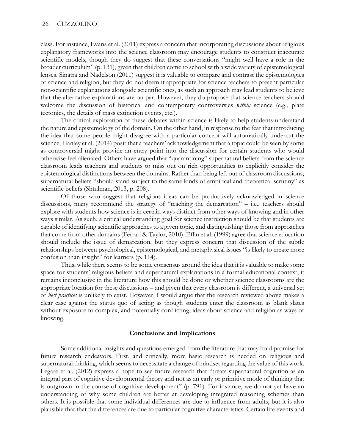class. For instance, Evans et al. (2011) express a concern that incorporating discussions about religious explanatory frameworks into the science classroom may encourage students to construct inaccurate scientific models, though they do suggest that these conversations "might well have a role in the broader curriculum" (p. 131), given that children come to school with a wide variety of epistemological lenses. Sinatra and Nadelson (2011) suggest it is valuable to compare and contrast the epistemologies of science and religion, but they do not deem it appropriate for science teachers to present particular non-scientific explanations alongside scientific ones, as such an approach may lead students to believe that the alternative explanations are on par. However, they do propose that science teachers should welcome the discussion of historical and contemporary controversies *within* science (e.g., plate tectonics, the details of mass extinction events, etc.).

The critical exploration of these debates within science is likely to help students understand the nature and epistemology of the domain. On the other hand, in response to the fear that introducing the idea that some people might disagree with a particular concept will automatically undercut the science, Hanley et al. (2014) posit that a teachers' acknowledgement that a topic could be seen by some as controversial might provide an entry point into the discussion for certain students who would otherwise feel alienated. Others have argued that "quarantining" supernatural beliefs from the science classroom leads teachers and students to miss out on rich opportunities to explicitly consider the epistemological distinctions between the domains. Rather than being left out of classroom discussions, supernatural beliefs "should stand subject to the same kinds of empirical and theoretical scrutiny" as scientific beliefs (Shtulman, 2013, p. 208).

Of those who suggest that religious ideas can be productively acknowledged in science discussions, many recommend the strategy of "teaching the demarcation" – i.e., teachers should explore with students how science is in certain ways distinct from other ways of knowing and in other ways similar. As such, a critical understanding goal for science instruction should be that students are capable of identifying scientific approaches to a given topic, and distinguishing those from approaches that come from other domains (Ferrari & Taylor, 2010). Eflin et al. (1999) agree that science education should include the issue of demarcation, but they express concern that discussion of the subtle relationships between psychological, epistemological, and metaphysical issues "is likely to create more confusion than insight" for learners (p. 114).

Thus, while there seems to be some consensus around the idea that it is valuable to make some space for students' religious beliefs and supernatural explanations in a formal educational context, it remains inconclusive in the literature how this should be done or whether science classrooms are the appropriate location for these discussions – and given that every classroom is different, a universal set of *best practices* is unlikely to exist. However, I would argue that the research reviewed above makes a clear case against the status quo of acting as though students enter the classroom as blank slates without exposure to complex, and potentially conflicting, ideas about science and religion as ways of knowing.

#### **Conclusions and Implications**

Some additional insights and questions emerged from the literature that may hold promise for future research endeavors. First, and critically, more basic research is needed on religious and supernatural thinking, which seems to necessitate a change of mindset regarding the value of this work. Legare et al. (2012) express a hope to see future research that "treats supernatural cognition as an integral part of cognitive developmental theory and not as an early or primitive mode of thinking that is outgrown in the course of cognitive development" (p. 791). For instance, we do not yet have an understanding of why some children are better at developing integrated reasoning schemes than others. It is possible that some individual differences are due to influence from adults, but it is also plausible that that the differences are due to particular cognitive characteristics. Certain life events and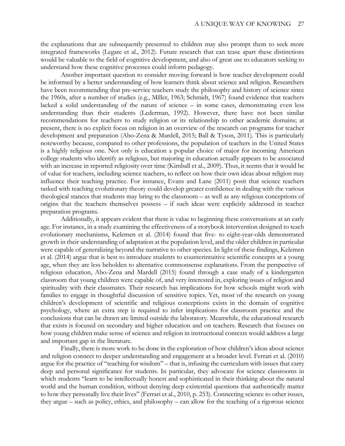the explanations that are subsequently presented to children may also prompt them to seek more integrated frameworks (Legare et al., 2012). Future research that can tease apart these distinctions would be valuable to the field of cognitive development, and also of great use to educators seeking to understand how these cognitive processes could inform pedagogy.

Another important question to consider moving forward is how teacher development could be informed by a better understanding of how learners think about science and religion. Researchers have been recommending that pre-service teachers study the philosophy and history of science since the 1960s, after a number of studies (e.g., Miller, 1963; Schmidt, 1967) found evidence that teachers lacked a solid understanding of the nature of science – in some cases, demonstrating even less understanding than their students (Lederman, 1992). However, there have not been similar recommendations for teachers to study religion or its relationship to other academic domains; at present, there is no explicit focus on religion in an overview of the research on programs for teacher development and preparation (Abo-Zena & Mardell, 2015; Ball & Tyson, 2011). This is particularly noteworthy because, compared to other professions, the population of teachers in the United States is a highly religious one. Not only is education a popular choice of major for incoming American college students who identify as religious, but majoring in education actually appears to be associated with an increase in reported religiosity over time (Kimball et al., 2009). Thus, it seems that it would be of value for teachers, including science teachers, to reflect on how their own ideas about religion may influence their teaching practice. For instance, Evans and Lane (2011) posit that science teachers tasked with teaching evolutionary theory could develop greater confidence in dealing with the various theological stances that students may bring to the classroom – as well as any religious conceptions of origins that the teachers themselves possess – if such ideas were explicitly addressed in teacher preparation programs.

Additionally, it appears evident that there is value to beginning these conversations at an early age. For instance, in a study examining the effectiveness of a storybook intervention designed to teach evolutionary mechanisms, Kelemen et al. (2014) found that five- to eight-year-olds demonstrated growth in their understanding of adaptation at the population level, and the older children in particular were capable of generalizing beyond the narrative to other species. In light of these findings, Kelemen et al. (2014) argue that is best to introduce students to counterintuitive scientific concepts at a young age, when they are less beholden to alternative commonsense explanations. From the perspective of religious education, Abo-Zena and Mardell (2015) found through a case study of a kindergarten classroom that young children were capable of, and very interested in, exploring issues of religion and spirituality with their classmates. Their research has implications for how schools might work with families to engage in thoughtful discussion of sensitive topics. Yet, most of the research on young children's development of scientific and religious conceptions exists in the domain of cognitive psychology, where an extra step is required to infer implications for classroom practice and the conclusions that can be drawn are limited outside the laboratory. Meanwhile, the educational research that exists is focused on secondary and higher education and on teachers. Research that focuses on how young children make sense of science and religion in instructional contexts would address a large and important gap in the literature.

Finally, there is more work to be done in the exploration of how children's ideas about science and religion connect to deeper understanding and engagement at a broader level. Ferrari et al. (2010) argue for the practice of "teaching for wisdom" – that is, infusing the curriculum with issues that carry deep and personal significance for students. In particular, they advocate for science classrooms in which students "learn to be intellectually honest and sophisticated in their thinking about the natural world and the human condition, without denying deep existential questions that authentically matter to how they personally live their lives" (Ferrari et al., 2010, p. 253). Connecting science to other issues, they argue – such as policy, ethics, and philosophy – can allow for the teaching of a rigorous science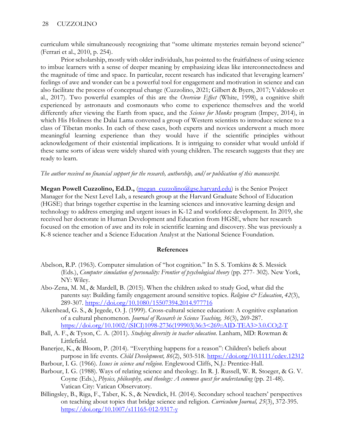curriculum while simultaneously recognizing that "some ultimate mysteries remain beyond science" (Ferrari et al., 2010, p. 254).

Prior scholarship, mostly with older individuals, has pointed to the fruitfulness of using science to imbue learners with a sense of deeper meaning by emphasizing ideas like interconnectedness and the magnitude of time and space. In particular, recent research has indicated that leveraging learners' feelings of awe and wonder can be a powerful tool for engagement and motivation in science and can also facilitate the process of conceptual change (Cuzzolino, 2021; Gilbert & Byers, 2017; Valdesolo et al., 2017). Two powerful examples of this are the *Overview Effect* (White, 1998), a cognitive shift experienced by astronauts and cosmonauts who come to experience themselves and the world differently after viewing the Earth from space, and the *Science for Monks* program (Impey, 2014), in which His Holiness the Dalai Lama convened a group of Western scientists to introduce science to a class of Tibetan monks. In each of these cases, both experts and novices underwent a much more meaningful learning experience than they would have if the scientific principles without acknowledgement of their existential implications. It is intriguing to consider what would unfold if these same sorts of ideas were widely shared with young children. The research suggests that they are ready to learn.

## *The author received no financial support for the research, authorship, and/or publication of this manuscript.*

**Megan Powell Cuzzolino, Ed.D.,** *[\(megan\\_cuzzolino@gse.harvard.edu\)](mailto:megan_cuzzolino@gse.harvard.edu)* is the Senior Project Manager for the Next Level Lab, a research group at the Harvard Graduate School of Education (HGSE) that brings together expertise in the learning sciences and innovative learning design and technology to address emerging and urgent issues in K-12 and workforce development. In 2019, she received her doctorate in Human Development and Education from HGSE, where her research focused on the emotion of awe and its role in scientific learning and discovery. She was previously a K-8 science teacher and a Science Education Analyst at the National Science Foundation.

### **References**

- Abelson, R.P. (1963). Computer simulation of "hot cognition." In S. S. Tomkins & S. Messick (Eds.), *Computer simulation of personality: Frontier of psychological theory* (pp. 277- 302). New York, NY: Wiley.
- Abo-Zena, M. M., & Mardell, B. (2015). When the children asked to study God, what did the parents say: Building family engagement around sensitive topics. *Religion & Education*, *42*(3), 289-307.<https://doi.org/10.1080/15507394.2014.977716>
- Aikenhead, G. S., & Jegede, O. J. (1999). Cross-cultural science education: A cognitive explanation of a cultural phenomenon. *Journal of Research in Science Teaching, 36*(3), 269-287. [https://doi.org/10.1002/\(SICI\)1098-2736\(199903\)36:3<269::AID-TEA3>3.0.CO;2-T](https://doi.org/10.1002/(SICI)1098-2736(199903)36:3%3C269::AID-TEA3%3E3.0.CO;2-T)
- Ball, A. F., & Tyson, C. A. (2011). *Studying diversity in teacher education*. Lanham, MD: Rowman & Littlefield.
- Banerjee, K., & Bloom, P. (2014). "Everything happens for a reason": Children's beliefs about purpose in life events. *Child Development, 86*(2), 503-518.<https://doi.org/10.1111/cdev.12312>
- Barbour, I. G. (1966). *Issues in science and religion*. Englewood Cliffs, N.J.: Prentice-Hall.
- Barbour, I. G. (1988). Ways of relating science and theology. In R. J. Russell, W. R. Stoeger, & G. V. Coyne (Eds.), *Physics, philosophy, and theology: A common quest for understanding* (pp. 21-48). Vatican City: Vatican Observatory.
- Billingsley, B., Riga, F., Taber, K. S., & Newdick, H. (2014). Secondary school teachers' perspectives on teaching about topics that bridge science and religion. *Curriculum Journal, 25*(3), 372-395. <https://doi.org/10.1007/s11165-012-9317-y>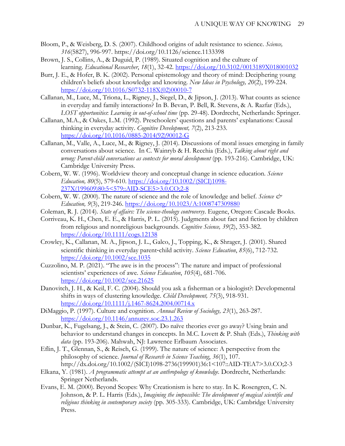- Bloom, P., & Weisberg, D. S. (2007). Childhood origins of adult resistance to science. *Science, 316*(5827), 996-997. https://doi.org/10.1126/science.1133398
- Brown, J. S., Collins, A., & Duguid, P. (1989). Situated cognition and the culture of learning. *Educational Researcher*, *18*(1), 32-42. [https://doi.org/10.3102/0013189X018001032](https://doi.org/10.3102%2F0013189X018001032)
- Burr, J. E., & Hofer, B. K. (2002). Personal epistemology and theory of mind: Deciphering young children's beliefs about knowledge and knowing. *New Ideas in Psychology, 20*(2), 199-224. [https://doi.org/10.1016/S0732-118X\(02\)00010-7](https://doi.org/10.1016/S0732-118X(02)00010-7)
- Callanan, M., Luce, M., Triona, L., Rigney, J., Siegel, D., & Jipson, J. (2013). What counts as science in everyday and family interactions? In B. Bevan, P. Bell, R. Stevens, & A. Razfar (Eds.), *LOST opportunities*: *Learning in out-of-school time* (pp. 29-48). Dordrecht, Netherlands: Springer.
- Callanan, M.A., & Oakes, L.M. (1992). Preschoolers' questions and parents' explanations: Causal thinking in everyday activity. *Cognitive Development, 7*(2), 213-233. [https://doi.org/10.1016/0885-2014\(92\)90012-G](https://doi.org/10.1016/0885-2014(92)90012-G)
- Callanan, M., Valle, A., Luce, M., & Rigney, J. (2014). Discussions of moral issues emerging in family conversations about science. In C. Wainryb & H. Recchia (Eds.), *Talking about right and wrong: Parent-child conversations as contexts for moral development* (pp. 193-216). Cambridge, UK: Cambridge University Press.
- Cobern, W. W. (1996). Worldview theory and conceptual change in science education. *Science Education, 80*(5), 579-610. [https://doi.org/10.1002/\(SICI\)1098-](https://doi.org/10.1002/(SICI)1098-237X(199609)80:5%3C579::AID-SCE5%3E3.0.CO;2-8) [237X\(199609\)80:5<579::AID-SCE5>3.0.CO;2-8](https://doi.org/10.1002/(SICI)1098-237X(199609)80:5%3C579::AID-SCE5%3E3.0.CO;2-8)
- Cobern, W. W. (2000). The nature of science and the role of knowledge and belief. *Science & Education, 9*(3), 219-246.<https://doi.org/10.1023/A:1008747309880>
- Coleman, R. J. (2014). *State of affairs: The science-theology controversy*. Eugene, Oregon: Cascade Books.
- Corriveau, K. H., Chen, E. E., & Harris, P. L. (2015). Judgments about fact and fiction by children from religious and nonreligious backgrounds. *Cognitive Science, 39*(2), 353-382. <https://doi.org/10.1111/cogs.12138>
- Crowley, K., Callanan, M. A., Jipson, J. L., Galco, J., Topping, K., & Shrager, J. (2001). Shared scientific thinking in everyday parent‐child activity. *Science Education*, *85*(6), 712-732. <https://doi.org/10.1002/sce.1035>
- Cuzzolino, M. P. (2021). "The awe is in the process": The nature and impact of professional scientists' experiences of awe. *Science Education*, *105*(4), 681-706. <https://doi.org/10.1002/sce.21625>
- Danovitch, J. H., & Keil, F. C. (2004). Should you ask a fisherman or a biologist?: Developmental shifts in ways of clustering knowledge. *Child Development, 75*(3), 918-931. <https://doi.org/10.1111/j.1467-8624.2004.00714.x>
- DiMaggio, P. (1997). Culture and cognition. *Annual Review of Sociology, 23*(1), 263-287. <https://doi.org/10.1146/annurev.soc.23.1.263>
- Dunbar, K., Fugelsang, J., & Stein, C. (2007). Do naïve theories ever go away? Using brain and behavior to understand changes in concepts. In M.C. Lovett & P. Shah (Eds.), *Thinking with data* (pp. 193-206). Mahwah, NJ: Lawrence Erlbaum Associates.
- Eflin, J. T., Glennan, S., & Reisch, G. (1999). The nature of science: A perspective from the philosophy of science. *Journal of Research in Science Teaching*, *36*(1), 107. http://dx.doi.org/10.1002/(SICI)1098-2736(199901)36:1<107::AID-TEA7>3.0.CO;2-3
- Elkana, Y. (1981). *A programmatic attempt at an anthropology of knowledge.* Dordrecht, Netherlands: Springer Netherlands.
- Evans, E. M. (2000). Beyond Scopes: Why Creationism is here to stay. In K. Rosengren, C. N. Johnson, & P. L. Harris (Eds.), *Imagining the impossible: The development of magical scientific and religious thinking in contemporary society* (pp. 305-333). Cambridge, UK: Cambridge University Press.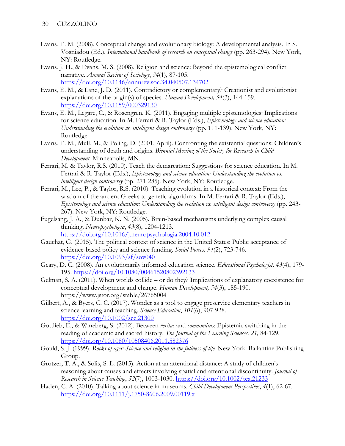- Evans, E. M. (2008). Conceptual change and evolutionary biology: A developmental analysis. In S. Vosniadou (Ed.), *International handbook of research on conceptual change* (pp. 263-294). New York, NY: Routledge.
- Evans, J. H., & Evans, M. S. (2008). Religion and science: Beyond the epistemological conflict narrative. *Annual Review of Sociology*, *34*(1), 87-105. <https://doi.org/10.1146/annurev.soc.34.040507.134702>
- Evans, E. M., & Lane, J. D. (2011). Contradictory or complementary? Creationist and evolutionist explanations of the origin(s) of species. *Human Development, 54*(3), 144-159. <https://doi.org/10.1159/000329130>
- Evans, E. M., Legare, C., & Rosengren, K. (2011). Engaging multiple epistemologies: Implications for science education. In M. Ferrari & R. Taylor (Eds.), *Epistemology and science education: Understanding the evolution vs. intelligent design controversy* (pp. 111-139). New York, NY: Routledge.
- Evans, E. M., Mull, M., & Poling, D. (2001, April). Confronting the existential questions: Children's understanding of death and origins. *Biennial Meeting of the Society for Research in Child Development.* Minneapolis, MN.
- Ferrari, M. & Taylor, R.S. (2010). Teach the demarcation: Suggestions for science education. In M. Ferrari & R. Taylor (Eds.), *Epistemology and science education: Understanding the evolution vs. intelligent design controversy* (pp. 271-285). New York, NY: Routledge.
- Ferrari, M., Lee, P., & Taylor, R.S. (2010). Teaching evolution in a historical context: From the wisdom of the ancient Greeks to genetic algorithms. In M. Ferrari & R. Taylor (Eds.), *Epistemology and science education: Understanding the evolution vs. intelligent design controversy* (pp. 243- 267). New York, NY: Routledge.
- Fugelsang, J. A., & Dunbar, K. N. (2005). Brain-based mechanisms underlying complex causal thinking. *Neuropsychologia*, *43*(8), 1204-1213. <https://doi.org/10.1016/j.neuropsychologia.2004.10.012>
- Gauchat, G. (2015). The political context of science in the United States: Public acceptance of evidence-based policy and science funding. *Social Forces, 94*(2), 723-746. <https://doi.org/10.1093/sf/sov040>
- Geary, D. C. (2008). An evolutionarily informed education science. *Educational Psychologist, 43*(4), 179- 195.<https://doi.org/10.1080/00461520802392133>
- Gelman, S. A. (2011). When worlds collide or do they? Implications of explanatory coexistence for conceptual development and change. *Human Development, 54*(3), 185-190. https://www.jstor.org/stable/26765004
- Gilbert, A., & Byers, C. C. (2017). Wonder as a tool to engage preservice elementary teachers in science learning and teaching. *Science Education*, *101*(6), 907-928. <https://doi.org/10.1002/sce.21300>
- Gottlieb, E., & Wineberg, S. (2012). Between *veritas* and *communitas*: Epistemic switching in the reading of academic and sacred history. *The Journal of the Learning Sciences, 21,* 84-129. <https://doi.org/10.1080/10508406.2011.582376>
- Gould, S. J. (1999). *Rocks of ages: Science and religion in the fullness of life*. New York: Ballantine Publishing Group.
- Grotzer, T. A., & Solis, S. L. (2015). Action at an attentional distance: A study of children's reasoning about causes and effects involving spatial and attentional discontinuity. *Journal of Research in Science Teaching*, *52*(7), 1003-1030.<https://doi.org/10.1002/tea.21233>
- Haden, C. A. (2010). Talking about science in museums. *Child Development Perspectives*, *4*(1), 62-67. <https://doi.org/10.1111/j.1750-8606.2009.00119.x>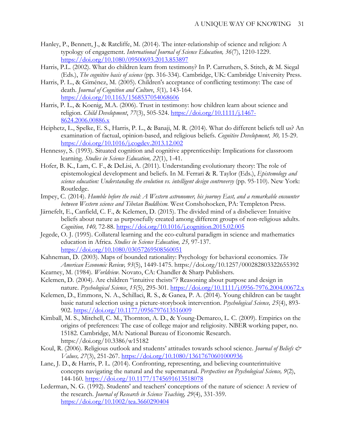- Hanley, P., Bennett, J., & Ratcliffe, M. (2014). The inter-relationship of science and religion: A typology of engagement. *International Journal of Science Education, 36*(7), 1210-1229. <https://doi.org/10.1080/09500693.2013.853897>
- Harris, P.L. (2002). What do children learn from testimony? In P. Carruthers, S. Stitch, & M. Siegal (Eds.), *The cognitive basis of science* (pp. 316-334). Cambridge, UK: Cambridge University Press.
- Harris, P. L., & Giménez, M. (2005). Children's acceptance of conflicting testimony: The case of death. *Journal of Cognition and Culture*, *5*(1)*,* 143-164. <https://doi.org/10.1163/1568537054068606>
- Harris, P. L., & Koenig, M.A. (2006). Trust in testimony: how children learn about science and religion. *Child Development*, *77*(3), 505-524. [https://doi.org/10.1111/j.1467-](https://doi.org/10.1111/j.1467-8624.2006.00886.x) [8624.2006.00886.x](https://doi.org/10.1111/j.1467-8624.2006.00886.x)
- Heiphetz, L., Spelke, E. S., Harris, P. L., & Banaji, M. R. (2014). What do different beliefs tell us? An examination of factual, opinion-based, and religious beliefs. *Cognitive Development, 30,* 15-29. <https://doi.org/10.1016/j.cogdev.2013.12.002>
- Hennessy, S. (1993). Situated cognition and cognitive apprenticeship: Implications for classroom learning. *Studies in Science Education, 22*(1), 1-41.
- Hofer, B. K., Lam, C. F., & DeLisi, A. (2011). Understanding evolutionary theory: The role of epistemological development and beliefs. In M. Ferrari & R. Taylor (Eds.), *Epistemology and science education: Understanding the evolution vs. intelligent design controversy* (pp. 95-110). New York: Routledge.
- Impey, C. (2014). *Humble before the void: A Western astronomer, his journey East, and a remarkable encounter between Western science and Tibetan Buddhism.* West Conshohocken, PA: Templeton Press.
- Järnefelt, E., Canfield, C. F., & Kelemen, D. (2015). The divided mind of a disbeliever: Intuitive beliefs about nature as purposefully created among different groups of non-religious adults. *Cognition, 140,* 72-88.<https://doi.org/10.1016/j.cognition.2015.02.005>
- Jegede, O. J. (1995). Collateral learning and the eco-cultural paradigm in science and mathematics education in Africa. *Studies in Science Education, 25,* 97-137. <https://doi.org/10.1080/03057269508560051>
- Kahneman, D. (2003). Maps of bounded rationality: Psychology for behavioral economics. *The American Economic Review, 93*(5), 1449-1475. https://doi.org/10.1257/000282803322655392
- Kearney, M. (1984). *Worldview*. Novato, CA: Chandler & Sharp Publishers.
- Kelemen, D. (2004). Are children "intuitive theists"? Reasoning about purpose and design in nature. *Psychological Science*, *15*(5), 295-301. [https://doi.org/10.1111/j.0956-7976.2004.00672.x](https://doi.org/10.1111%2Fj.0956-7976.2004.00672.x)
- Kelemen, D., Emmons, N. A., Schillaci, R. S., & Ganea, P. A. (2014). Young children can be taught basic natural selection using a picture-storybook intervention. *Psychological Science, 25*(4), 893- 902. [https://doi.org/10.1177/0956797613516009](https://doi.org/10.1177%2F0956797613516009)
- Kimball, M. S., Mitchell, C. M., Thornton, A. D., & Young-Demarco, L. C. (2009). Empirics on the origins of preferences: The case of college major and religiosity. NBER working paper, no. 15182. Cambridge, MA: National Bureau of Economic Research. https://doi.org/10.3386/w15182
- Koul, R. (2006). Religious outlook and students' attitudes towards school science. *Journal of Beliefs & Values, 27*(3), 251-267.<https://doi.org/10.1080/13617670601000936>
- Lane, J. D., & Harris, P. L. (2014). Confronting, representing, and believing counterintuitive concepts navigating the natural and the supernatural. *Perspectives on Psychological Science, 9*(2), 144-160. [https://doi.org/10.1177/1745691613518078](https://doi.org/10.1177%2F1745691613518078)
- Lederman, N. G. (1992). Students' and teachers' conceptions of the nature of science: A review of the research. *Journal of Research in Science Teaching, 29*(4), 331-359. <https://doi.org/10.1002/tea.3660290404>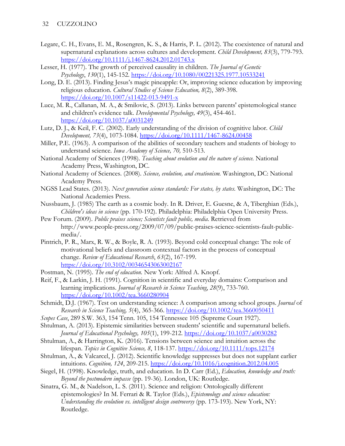- Legare, C. H., Evans, E. M., Rosengren, K. S., & Harris, P. L. (2012). The coexistence of natural and supernatural explanations across cultures and development. *Child Development, 83*(3), 779-793. <https://doi.org/10.1111/j.1467-8624.2012.01743.x>
- Lesser, H. (1977). The growth of perceived causality in children. *The Journal of Genetic Psychology*, *130*(1), 145-152.<https://doi.org/10.1080/00221325.1977.10533241>
- Long, D. E. (2013). Finding Jesus's magic pineapple: Or, improving science education by improving religious education. *Cultural Studies of Science Education, 8*(2), 389-398. <https://doi.org/10.1007/s11422-013-9491-x>
- Luce, M. R., Callanan, M. A., & Smilovic, S. (2013). Links between parents' epistemological stance and children's evidence talk. *Developmental Psychology, 49*(3), 454-461. [https://doi.org/10.1037/a0031249](https://psycnet.apa.org/doi/10.1037/a0031249)
- Lutz, D. J., & Keil, F. C. (2002). Early understanding of the division of cognitive labor. *Child Development, 73*(4), 1073-1084.<https://doi.org/10.1111/1467-8624.00458>
- Miller, P.E. (1963). A comparison of the abilities of secondary teachers and students of biology to understand science. *Iowa Academy of Science, 70,* 510-513.
- National Academy of Sciences (1998). *Teaching about evolution and the nature of science.* National Academy Press, Washington, DC.
- National Academy of Sciences. (2008). *Science, evolution, and creationism.* Washington, DC: National Academy Press.
- NGSS Lead States. (2013). *Next generation science standards: For states, by states.* Washington, DC: The National Academies Press.
- Nussbaum, J. (1985) The earth as a cosmic body. In R. Driver, E. Guesne, & A, Tiberghian (Eds.), *Children's ideas in science* (pp. 170-192). Philadelphia: Philadelphia Open University Press.
- Pew Forum. (2009). *Public praises science; Scientists fault public, media*. Retrieved from http://www.people-press.org/2009/07/09/public-praises-science-scientists-fault-publicmedia/.
- Pintrich, P. R., Marx, R. W., & Boyle, R. A. (1993). Beyond cold conceptual change: The role of motivational beliefs and classroom contextual factors in the process of conceptual change. *Review of Educational Research*, *63*(2), 167-199. [https://doi.org/10.3102/00346543063002167](https://doi.org/10.3102%2F00346543063002167)
- Postman, N. (1995). *The end of education.* New York: Alfred A. Knopf.
- Reif, F., & Larkin, J. H. (1991). Cognition in scientific and everyday domains: Comparison and learning implications. *Journal of Research in Science Teaching*, *28*(9), 733-760. <https://doi.org/10.1002/tea.3660280904>
- Schmidt, D.J. (1967). Test on understanding science: A comparison among school groups. *Journal* of *Research in Science Teaching, 5*(4), 365-366.<https://doi.org/10.1002/tea.3660050411>
- *Scopes Case*, 289 S.W. 363, 154 Tenn. 105, 154 Tennessee 105 (Supreme Court 1927).
- Shtulman, A. (2013). Epistemic similarities between students' scientific and supernatural beliefs. *Journal of Educational Psychology, 105*(1), 199-212. [https://doi.org/10.1037/a0030282](https://psycnet.apa.org/doi/10.1037/a0030282)
- Shtulman, A., & Harrington, K. (2016). Tensions between science and intuition across the lifespan. *Topics in Cognitive Science, 8*, 118-137.<https://doi.org/10.1111/tops.12174>
- Shtulman, A., & Valcarcel, J. (2012). Scientific knowledge suppresses but does not supplant earlier intuitions. *Cognition, 124*, 209-215.<https://doi.org/10.1016/j.cognition.2012.04.005>
- Siegel, H. (1998). Knowledge, truth, and education. In D. Carr (Ed.), *Education, knowledge and truth: Beyond the postmodern impasse* (pp. 19-36). London, UK: Routledge.
- Sinatra, G. M., & Nadelson, L. S. (2011). Science and religion: Ontologically different epistemologies? In M. Ferrari & R. Taylor (Eds.), *Epistemology and science education: Understanding the evolution vs. intelligent design controversy* (pp. 173-193). New York, NY: Routledge.